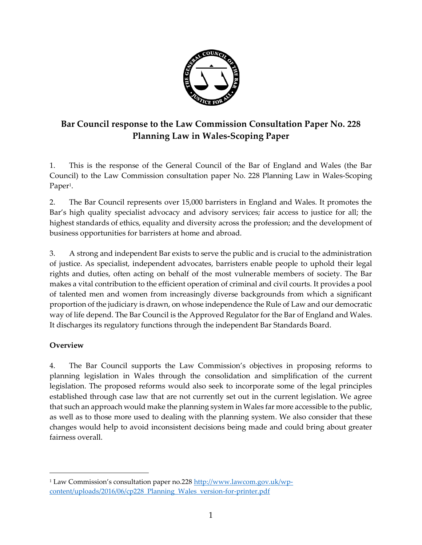

# **Bar Council response to the Law Commission Consultation Paper No. 228 Planning Law in Wales-Scoping Paper**

1. This is the response of the General Council of the Bar of England and Wales (the Bar Council) to the Law Commission consultation paper No. 228 Planning Law in Wales-Scoping Paper<sup>1</sup>.

2. The Bar Council represents over 15,000 barristers in England and Wales. It promotes the Bar's high quality specialist advocacy and advisory services; fair access to justice for all; the highest standards of ethics, equality and diversity across the profession; and the development of business opportunities for barristers at home and abroad.

3. A strong and independent Bar exists to serve the public and is crucial to the administration of justice. As specialist, independent advocates, barristers enable people to uphold their legal rights and duties, often acting on behalf of the most vulnerable members of society. The Bar makes a vital contribution to the efficient operation of criminal and civil courts. It provides a pool of talented men and women from increasingly diverse backgrounds from which a significant proportion of the judiciary is drawn, on whose independence the Rule of Law and our democratic way of life depend. The Bar Council is the Approved Regulator for the Bar of England and Wales. It discharges its regulatory functions through the independent Bar Standards Board.

# **Overview**

 $\overline{a}$ 

4. The Bar Council supports the Law Commission's objectives in proposing reforms to planning legislation in Wales through the consolidation and simplification of the current legislation. The proposed reforms would also seek to incorporate some of the legal principles established through case law that are not currently set out in the current legislation. We agree that such an approach would make the planning system in Wales far more accessible to the public, as well as to those more used to dealing with the planning system. We also consider that these changes would help to avoid inconsistent decisions being made and could bring about greater fairness overall.

<sup>&</sup>lt;sup>1</sup> Law Commission's consultation paper no.228 [http://www.lawcom.gov.uk/wp](http://www.lawcom.gov.uk/wp-content/uploads/2016/06/cp228_Planning_Wales_version-for-printer.pdf)[content/uploads/2016/06/cp228\\_Planning\\_Wales\\_version-for-printer.pdf](http://www.lawcom.gov.uk/wp-content/uploads/2016/06/cp228_Planning_Wales_version-for-printer.pdf)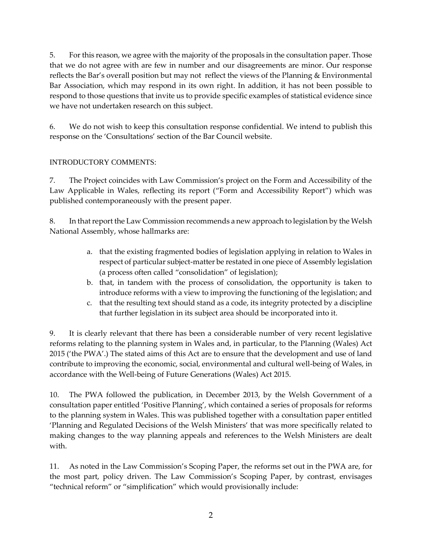5. For this reason, we agree with the majority of the proposals in the consultation paper. Those that we do not agree with are few in number and our disagreements are minor. Our response reflects the Bar's overall position but may not reflect the views of the Planning & Environmental Bar Association, which may respond in its own right. In addition, it has not been possible to respond to those questions that invite us to provide specific examples of statistical evidence since we have not undertaken research on this subject.

6. We do not wish to keep this consultation response confidential. We intend to publish this response on the 'Consultations' section of the Bar Council website.

#### INTRODUCTORY COMMENTS:

7. The Project coincides with Law Commission's project on the Form and Accessibility of the Law Applicable in Wales, reflecting its report ("Form and Accessibility Report") which was published contemporaneously with the present paper.

8. In that report the Law Commission recommends a new approach to legislation by the Welsh National Assembly, whose hallmarks are:

- a. that the existing fragmented bodies of legislation applying in relation to Wales in respect of particular subject-matter be restated in one piece of Assembly legislation (a process often called "consolidation" of legislation);
- b. that, in tandem with the process of consolidation, the opportunity is taken to introduce reforms with a view to improving the functioning of the legislation; and
- c. that the resulting text should stand as a code, its integrity protected by a discipline that further legislation in its subject area should be incorporated into it.

9. It is clearly relevant that there has been a considerable number of very recent legislative reforms relating to the planning system in Wales and, in particular, to the Planning (Wales) Act 2015 ('the PWA'.) The stated aims of this Act are to ensure that the development and use of land contribute to improving the economic, social, environmental and cultural well-being of Wales, in accordance with the Well-being of Future Generations (Wales) Act 2015.

10. The PWA followed the publication, in December 2013, by the Welsh Government of a consultation paper entitled 'Positive Planning', which contained a series of proposals for reforms to the planning system in Wales. This was published together with a consultation paper entitled 'Planning and Regulated Decisions of the Welsh Ministers' that was more specifically related to making changes to the way planning appeals and references to the Welsh Ministers are dealt with.

11. As noted in the Law Commission's Scoping Paper, the reforms set out in the PWA are, for the most part, policy driven. The Law Commission's Scoping Paper, by contrast, envisages "technical reform" or "simplification" which would provisionally include: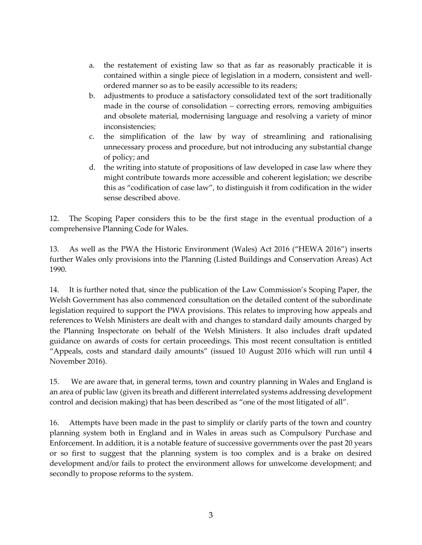- a. the restatement of existing law so that as far as reasonably practicable it is contained within a single piece of legislation in a modern, consistent and wellordered manner so as to be easily accessible to its readers;
- b. adjustments to produce a satisfactory consolidated text of the sort traditionally made in the course of consolidation – correcting errors, removing ambiguities and obsolete material, modernising language and resolving a variety of minor inconsistencies;
- c. the simplification of the law by way of streamlining and rationalising unnecessary process and procedure, but not introducing any substantial change of policy; and
- d. the writing into statute of propositions of law developed in case law where they might contribute towards more accessible and coherent legislation; we describe this as "codification of case law", to distinguish it from codification in the wider sense described above.

12. The Scoping Paper considers this to be the first stage in the eventual production of a comprehensive Planning Code for Wales.

13. As well as the PWA the Historic Environment (Wales) Act 2016 ("HEWA 2016") inserts further Wales only provisions into the Planning (Listed Buildings and Conservation Areas) Act 1990.

14. It is further noted that, since the publication of the Law Commission's Scoping Paper, the Welsh Government has also commenced consultation on the detailed content of the subordinate legislation required to support the PWA provisions. This relates to improving how appeals and references to Welsh Ministers are dealt with and changes to standard daily amounts charged by the Planning Inspectorate on behalf of the Welsh Ministers. It also includes draft updated guidance on awards of costs for certain proceedings. This most recent consultation is entitled "Appeals, costs and standard daily amounts" (issued 10 August 2016 which will run until 4 November 2016).

15. We are aware that, in general terms, town and country planning in Wales and England is an area of public law (given its breath and different interrelated systems addressing development control and decision making) that has been described as "one of the most litigated of all".

16. Attempts have been made in the past to simplify or clarify parts of the town and country planning system both in England and in Wales in areas such as Compulsory Purchase and Enforcement. In addition, it is a notable feature of successive governments over the past 20 years or so first to suggest that the planning system is too complex and is a brake on desired development and/or fails to protect the environment allows for unwelcome development; and secondly to propose reforms to the system.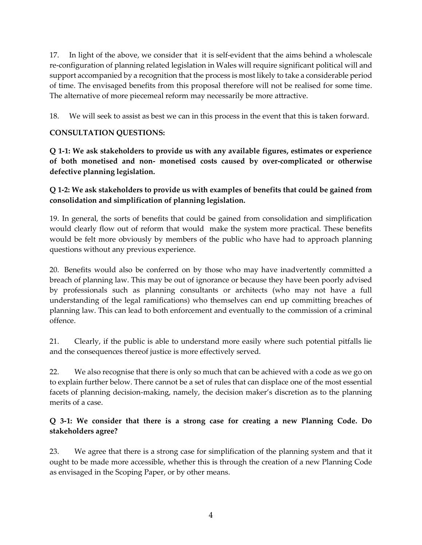17. In light of the above, we consider that it is self-evident that the aims behind a wholescale re-configuration of planning related legislation in Wales will require significant political will and support accompanied by a recognition that the process is most likely to take a considerable period of time. The envisaged benefits from this proposal therefore will not be realised for some time. The alternative of more piecemeal reform may necessarily be more attractive.

18. We will seek to assist as best we can in this process in the event that this is taken forward.

# **CONSULTATION QUESTIONS:**

**Q 1-1: We ask stakeholders to provide us with any available figures, estimates or experience of both monetised and non- monetised costs caused by over-complicated or otherwise defective planning legislation.**

# **Q 1-2: We ask stakeholders to provide us with examples of benefits that could be gained from consolidation and simplification of planning legislation.**

19. In general, the sorts of benefits that could be gained from consolidation and simplification would clearly flow out of reform that would make the system more practical. These benefits would be felt more obviously by members of the public who have had to approach planning questions without any previous experience.

20. Benefits would also be conferred on by those who may have inadvertently committed a breach of planning law. This may be out of ignorance or because they have been poorly advised by professionals such as planning consultants or architects (who may not have a full understanding of the legal ramifications) who themselves can end up committing breaches of planning law. This can lead to both enforcement and eventually to the commission of a criminal offence.

21. Clearly, if the public is able to understand more easily where such potential pitfalls lie and the consequences thereof justice is more effectively served.

22. We also recognise that there is only so much that can be achieved with a code as we go on to explain further below. There cannot be a set of rules that can displace one of the most essential facets of planning decision-making, namely, the decision maker's discretion as to the planning merits of a case.

#### **Q 3-1: We consider that there is a strong case for creating a new Planning Code. Do stakeholders agree?**

23. We agree that there is a strong case for simplification of the planning system and that it ought to be made more accessible, whether this is through the creation of a new Planning Code as envisaged in the Scoping Paper, or by other means.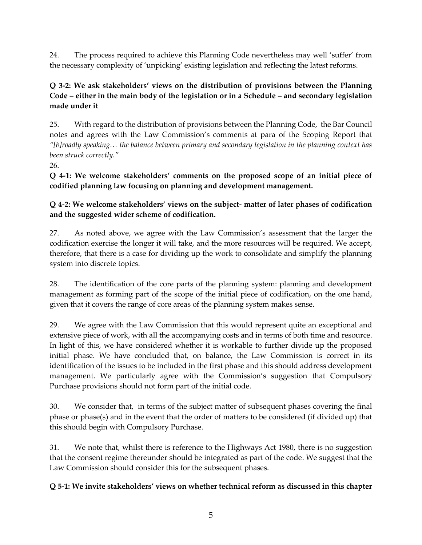24. The process required to achieve this Planning Code nevertheless may well 'suffer' from the necessary complexity of 'unpicking' existing legislation and reflecting the latest reforms.

# **Q 3-2: We ask stakeholders' views on the distribution of provisions between the Planning Code – either in the main body of the legislation or in a Schedule – and secondary legislation made under it**

25. With regard to the distribution of provisions between the Planning Code, the Bar Council notes and agrees with the Law Commission's comments at para of the Scoping Report that *"[b]roadly speaking… the balance between primary and secondary legislation in the planning context has been struck correctly."*

26.

**Q 4-1: We welcome stakeholders' comments on the proposed scope of an initial piece of codified planning law focusing on planning and development management.** 

# **Q 4-2: We welcome stakeholders' views on the subject- matter of later phases of codification and the suggested wider scheme of codification.**

27. As noted above, we agree with the Law Commission's assessment that the larger the codification exercise the longer it will take, and the more resources will be required. We accept, therefore, that there is a case for dividing up the work to consolidate and simplify the planning system into discrete topics.

28. The identification of the core parts of the planning system: planning and development management as forming part of the scope of the initial piece of codification, on the one hand, given that it covers the range of core areas of the planning system makes sense.

29. We agree with the Law Commission that this would represent quite an exceptional and extensive piece of work, with all the accompanying costs and in terms of both time and resource. In light of this, we have considered whether it is workable to further divide up the proposed initial phase. We have concluded that, on balance, the Law Commission is correct in its identification of the issues to be included in the first phase and this should address development management. We particularly agree with the Commission's suggestion that Compulsory Purchase provisions should not form part of the initial code.

30. We consider that, in terms of the subject matter of subsequent phases covering the final phase or phase(s) and in the event that the order of matters to be considered (if divided up) that this should begin with Compulsory Purchase.

31. We note that, whilst there is reference to the Highways Act 1980, there is no suggestion that the consent regime thereunder should be integrated as part of the code. We suggest that the Law Commission should consider this for the subsequent phases.

# **Q 5-1: We invite stakeholders' views on whether technical reform as discussed in this chapter**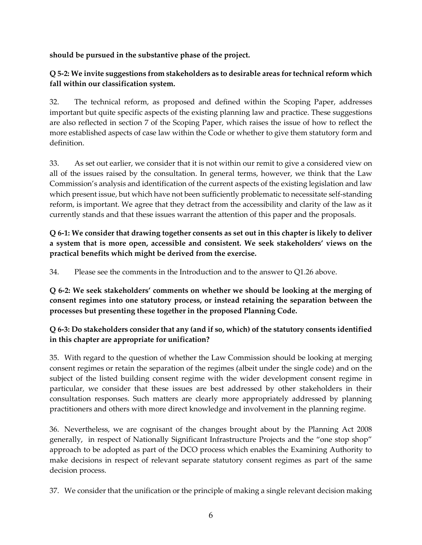**should be pursued in the substantive phase of the project.** 

# **Q 5-2: We invite suggestions from stakeholders as to desirable areas for technical reform which fall within our classification system.**

32. The technical reform, as proposed and defined within the Scoping Paper, addresses important but quite specific aspects of the existing planning law and practice. These suggestions are also reflected in section 7 of the Scoping Paper, which raises the issue of how to reflect the more established aspects of case law within the Code or whether to give them statutory form and definition.

33. As set out earlier, we consider that it is not within our remit to give a considered view on all of the issues raised by the consultation. In general terms, however, we think that the Law Commission's analysis and identification of the current aspects of the existing legislation and law which present issue, but which have not been sufficiently problematic to necessitate self-standing reform, is important. We agree that they detract from the accessibility and clarity of the law as it currently stands and that these issues warrant the attention of this paper and the proposals.

**Q 6-1: We consider that drawing together consents as set out in this chapter is likely to deliver a system that is more open, accessible and consistent. We seek stakeholders' views on the practical benefits which might be derived from the exercise.** 

34. Please see the comments in the Introduction and to the answer to Q1.26 above.

**Q 6-2: We seek stakeholders' comments on whether we should be looking at the merging of consent regimes into one statutory process, or instead retaining the separation between the processes but presenting these together in the proposed Planning Code.** 

# **Q 6-3: Do stakeholders consider that any (and if so, which) of the statutory consents identified in this chapter are appropriate for unification?**

35. With regard to the question of whether the Law Commission should be looking at merging consent regimes or retain the separation of the regimes (albeit under the single code) and on the subject of the listed building consent regime with the wider development consent regime in particular, we consider that these issues are best addressed by other stakeholders in their consultation responses. Such matters are clearly more appropriately addressed by planning practitioners and others with more direct knowledge and involvement in the planning regime.

36. Nevertheless, we are cognisant of the changes brought about by the Planning Act 2008 generally, in respect of Nationally Significant Infrastructure Projects and the "one stop shop" approach to be adopted as part of the DCO process which enables the Examining Authority to make decisions in respect of relevant separate statutory consent regimes as part of the same decision process.

37. We consider that the unification or the principle of making a single relevant decision making